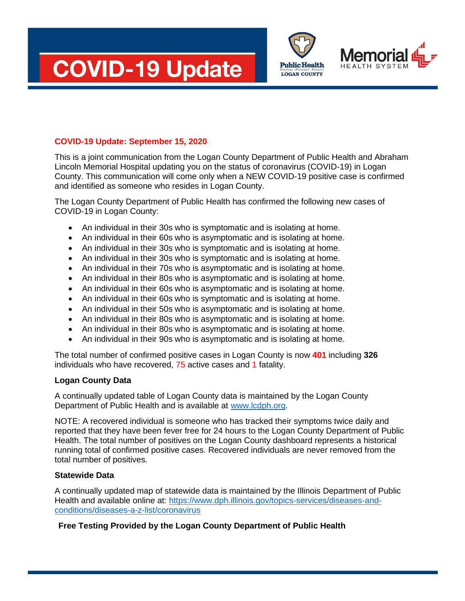





## **COVID-19 Update: September 15, 2020**

This is a joint communication from the Logan County Department of Public Health and Abraham Lincoln Memorial Hospital updating you on the status of coronavirus (COVID-19) in Logan County. This communication will come only when a NEW COVID-19 positive case is confirmed and identified as someone who resides in Logan County.

The Logan County Department of Public Health has confirmed the following new cases of COVID-19 in Logan County:

- An individual in their 30s who is symptomatic and is isolating at home.
- An individual in their 60s who is asymptomatic and is isolating at home.
- An individual in their 30s who is symptomatic and is isolating at home.
- An individual in their 30s who is symptomatic and is isolating at home.
- An individual in their 70s who is asymptomatic and is isolating at home.
- An individual in their 80s who is asymptomatic and is isolating at home.
- An individual in their 60s who is asymptomatic and is isolating at home.
- An individual in their 60s who is symptomatic and is isolating at home.
- An individual in their 50s who is asymptomatic and is isolating at home.
- An individual in their 80s who is asymptomatic and is isolating at home.
- An individual in their 80s who is asymptomatic and is isolating at home.
- An individual in their 90s who is asymptomatic and is isolating at home.

The total number of confirmed positive cases in Logan County is now **401** including **326** individuals who have recovered, 75 active cases and 1 fatality.

#### **Logan County Data**

A continually updated table of Logan County data is maintained by the Logan County Department of Public Health and is available at [www.lcdph.org.](http://www.lcdph.org/)

NOTE: A recovered individual is someone who has tracked their symptoms twice daily and reported that they have been fever free for 24 hours to the Logan County Department of Public Health. The total number of positives on the Logan County dashboard represents a historical running total of confirmed positive cases. Recovered individuals are never removed from the total number of positives.

#### **Statewide Data**

A continually updated map of statewide data is maintained by the Illinois Department of Public Health and available online at: [https://www.dph.illinois.gov/topics-services/diseases-and](https://www.dph.illinois.gov/topics-services/diseases-and-conditions/diseases-a-z-list/coronavirus)[conditions/diseases-a-z-list/coronavirus](https://www.dph.illinois.gov/topics-services/diseases-and-conditions/diseases-a-z-list/coronavirus)

## **Free Testing Provided by the Logan County Department of Public Health**